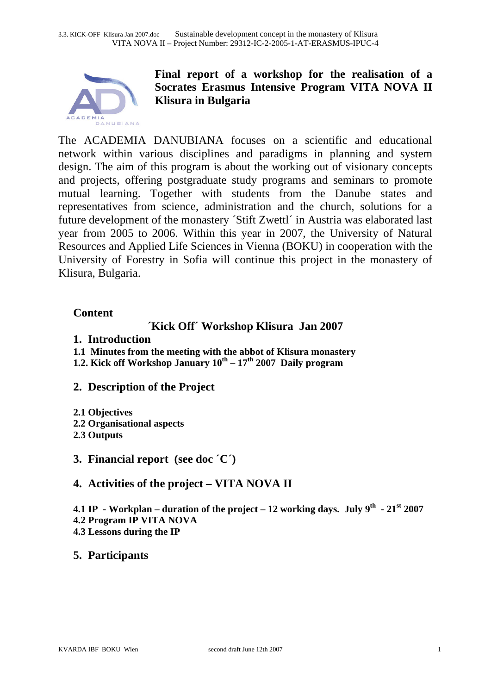

# **Final report of a workshop for the realisation of a Socrates Erasmus Intensive Program VITA NOVA II Klisura in Bulgaria**

The ACADEMIA DANUBIANA focuses on a scientific and educational network within various disciplines and paradigms in planning and system design. The aim of this program is about the working out of visionary concepts and projects, offering postgraduate study programs and seminars to promote mutual learning. Together with students from the Danube states and representatives from science, administration and the church, solutions for a future development of the monastery ´Stift Zwettl´ in Austria was elaborated last year from 2005 to 2006. Within this year in 2007, the University of Natural Resources and Applied Life Sciences in Vienna (BOKU) in cooperation with the University of Forestry in Sofia will continue this project in the monastery of Klisura, Bulgaria.

## **Content**

# **´Kick Off´ Workshop Klisura Jan 2007**

- **1. Introduction**
- **1.1 Minutes from the meeting with the abbot of Klisura monastery**
- **1.2. Kick off Workshop January**  $10^{th} 17^{th}$  **2007 Daily program**
- **2. Description of the Project**
- **2.1 Objectives**
- **2.2 Organisational aspects**
- **2.3 Outputs**
- **3. Financial report (see doc ´C´)**

# **4. Activities of the project – VITA NOVA II**

**4.1 IP** - Workplan – duration of the project – 12 working days. July  $9^{th}$  -  $21^{st}$  2007 **4.2 Program IP VITA NOVA** 

**4.3 Lessons during the IP** 

## **5. Participants**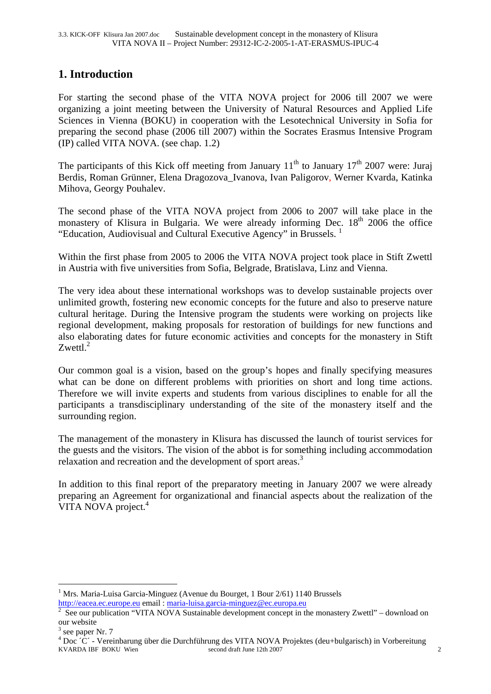# **1. Introduction**

For starting the second phase of the VITA NOVA project for 2006 till 2007 we were organizing a joint meeting between the University of Natural Resources and Applied Life Sciences in Vienna (BOKU) in cooperation with the Lesotechnical University in Sofia for preparing the second phase (2006 till 2007) within the Socrates Erasmus Intensive Program (IP) called VITA NOVA. (see chap. 1.2)

The participants of this Kick off meeting from January  $11<sup>th</sup>$  to January  $17<sup>th</sup>$  2007 were: Juraj Berdis, Roman Grünner, Elena Dragozova\_Ivanova, Ivan Paligorov, Werner Kvarda, Katinka Mihova, Georgy Pouhalev.

The second phase of the VITA NOVA project from 2006 to 2007 will take place in the monastery of Klisura in Bulgaria. We were already informing Dec. 18<sup>th</sup> 2006 the office "Education, Audiovisual and Cultural Executive Agency" in Brussels.  $<sup>1</sup>$ </sup>

Within the first phase from 2005 to 2006 the VITA NOVA project took place in Stift Zwettl in Austria with five universities from Sofia, Belgrade, Bratislava, Linz and Vienna.

The very idea about these international workshops was to develop sustainable projects over unlimited growth, fostering new economic concepts for the future and also to preserve nature cultural heritage. During the Intensive program the students were working on projects like regional development, making proposals for restoration of buildings for new functions and also elaborating dates for future economic activities and concepts for the monastery in Stift  $Zwettl.<sup>2</sup>$ 

Our common goal is a vision, based on the group's hopes and finally specifying measures what can be done on different problems with priorities on short and long time actions. Therefore we will invite experts and students from various disciplines to enable for all the participants a transdisciplinary understanding of the site of the monastery itself and the surrounding region.

The management of the monastery in Klisura has discussed the launch of tourist services for the guests and the visitors. The vision of the abbot is for something including accommodation relaxation and recreation and the development of sport areas.<sup>3</sup>

In addition to this final report of the preparatory meeting in January 2007 we were already preparing an Agreement for organizational and financial aspects about the realization of the VITA NOVA project.<sup>4</sup>

1

<sup>&</sup>lt;sup>1</sup> Mrs. Maria-Luisa Garcia-Minguez (Avenue du Bourget, 1 Bour 2/61) 1140 Brussels http://eacea.ec.europe.eu email : maria-luisa.garcia-minguez@ec.europa.eu <sup>2</sup>

See our publication "VITA NOVA Sustainable development concept in the monastery Zwettl" – download on our website

 $3$  see paper Nr. 7

KVARDA IBF BOKU Wien second draft June 12th 2007 2 <sup>4</sup> Doc <sup> $\hat{C}$ </sup> - Vereinbarung über die Durchführung des VITA NOVA Projektes (deu+bulgarisch) in Vorbereitung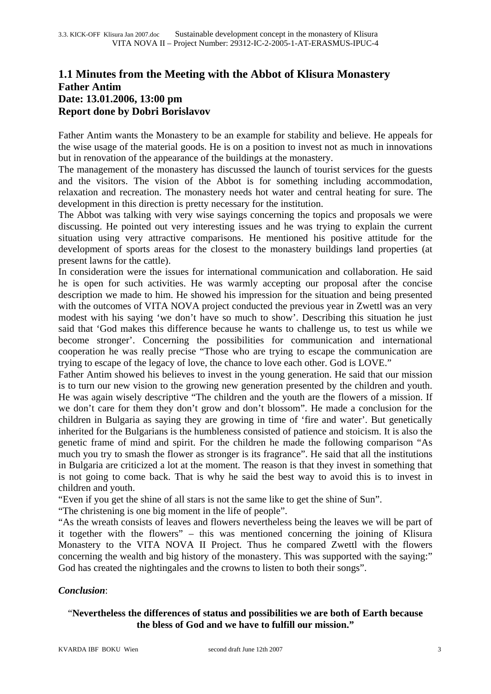## **1.1 Minutes from the Meeting with the Abbot of Klisura Monastery Father Antim Date: 13.01.2006, 13:00 pm Report done by Dobri Borislavov**

Father Antim wants the Monastery to be an example for stability and believe. He appeals for the wise usage of the material goods. He is on a position to invest not as much in innovations but in renovation of the appearance of the buildings at the monastery.

The management of the monastery has discussed the launch of tourist services for the guests and the visitors. The vision of the Abbot is for something including accommodation, relaxation and recreation. The monastery needs hot water and central heating for sure. The development in this direction is pretty necessary for the institution.

The Abbot was talking with very wise sayings concerning the topics and proposals we were discussing. He pointed out very interesting issues and he was trying to explain the current situation using very attractive comparisons. He mentioned his positive attitude for the development of sports areas for the closest to the monastery buildings land properties (at present lawns for the cattle).

In consideration were the issues for international communication and collaboration. He said he is open for such activities. He was warmly accepting our proposal after the concise description we made to him. He showed his impression for the situation and being presented with the outcomes of VITA NOVA project conducted the previous year in Zwettl was an very modest with his saying 'we don't have so much to show'. Describing this situation he just said that 'God makes this difference because he wants to challenge us, to test us while we become stronger'. Concerning the possibilities for communication and international cooperation he was really precise "Those who are trying to escape the communication are trying to escape of the legacy of love, the chance to love each other. God is LOVE."

Father Antim showed his believes to invest in the young generation. He said that our mission is to turn our new vision to the growing new generation presented by the children and youth. He was again wisely descriptive "The children and the youth are the flowers of a mission. If we don't care for them they don't grow and don't blossom". He made a conclusion for the children in Bulgaria as saying they are growing in time of 'fire and water'. But genetically inherited for the Bulgarians is the humbleness consisted of patience and stoicism. It is also the genetic frame of mind and spirit. For the children he made the following comparison "As much you try to smash the flower as stronger is its fragrance". He said that all the institutions in Bulgaria are criticized a lot at the moment. The reason is that they invest in something that is not going to come back. That is why he said the best way to avoid this is to invest in children and youth.

"Even if you get the shine of all stars is not the same like to get the shine of Sun".

"The christening is one big moment in the life of people".

"As the wreath consists of leaves and flowers nevertheless being the leaves we will be part of it together with the flowers" – this was mentioned concerning the joining of Klisura Monastery to the VITA NOVA II Project. Thus he compared Zwettl with the flowers concerning the wealth and big history of the monastery. This was supported with the saying:" God has created the nightingales and the crowns to listen to both their songs".

#### *Conclusion*:

### "**Nevertheless the differences of status and possibilities we are both of Earth because the bless of God and we have to fulfill our mission."**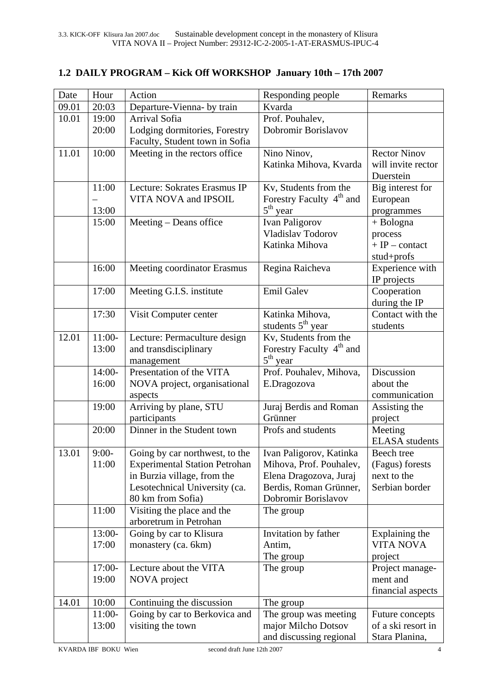# **1.2 DAILY PROGRAM – Kick Off WORKSHOP January 10th – 17th 2007**

| Date  | Hour     | Action                               | Responding people                    | Remarks                        |
|-------|----------|--------------------------------------|--------------------------------------|--------------------------------|
| 09.01 | 20:03    | Departure-Vienna- by train           | Kvarda                               |                                |
| 10.01 | 19:00    | Arrival Sofia                        | Prof. Pouhalev,                      |                                |
|       | 20:00    | Lodging dormitories, Forestry        | Dobromir Borislavov                  |                                |
|       |          | Faculty, Student town in Sofia       |                                      |                                |
| 11.01 | 10:00    | Meeting in the rectors office        | Nino Ninov,                          | <b>Rector Ninov</b>            |
|       |          |                                      | Katinka Mihova, Kvarda               | will invite rector             |
|       |          |                                      |                                      | Duerstein                      |
|       | 11:00    | Lecture: Sokrates Erasmus IP         | Kv, Students from the                | Big interest for               |
|       |          | VITA NOVA and IPSOIL                 | Forestry Faculty 4 <sup>th</sup> and | European                       |
|       | 13:00    |                                      | $5th$ year                           | programmes                     |
|       | 15:00    | Meeting – Deans office               | <b>Ivan Paligorov</b>                | $+$ Bologna                    |
|       |          |                                      | Vladislav Todorov                    | process                        |
|       |          |                                      | Katinka Mihova                       | $+ IP$ - contact               |
|       |          |                                      |                                      | stud+profs                     |
|       | 16:00    | Meeting coordinator Erasmus          | Regina Raicheva                      | Experience with                |
|       |          |                                      |                                      | IP projects                    |
|       | 17:00    | Meeting G.I.S. institute             | <b>Emil Galev</b>                    | Cooperation                    |
|       |          |                                      |                                      | during the IP                  |
|       | 17:30    | Visit Computer center                | Katinka Mihova,                      | Contact with the               |
|       |          |                                      | students $5th$ year                  | students                       |
| 12.01 | $11:00-$ | Lecture: Permaculture design         | Kv, Students from the                |                                |
|       | 13:00    | and transdisciplinary                | Forestry Faculty 4 <sup>th</sup> and |                                |
|       |          | management                           | $5th$ year                           |                                |
|       | $14:00-$ | Presentation of the VITA             | Prof. Pouhalev, Mihova,              | Discussion                     |
|       | 16:00    | NOVA project, organisational         | E.Dragozova                          | about the                      |
|       | 19:00    | aspects<br>Arriving by plane, STU    | Juraj Berdis and Roman               | communication<br>Assisting the |
|       |          | participants                         | Grünner                              | project                        |
|       | 20:00    | Dinner in the Student town           | Profs and students                   | Meeting                        |
|       |          |                                      |                                      | <b>ELASA</b> students          |
| 13.01 | $9:00-$  | Going by car northwest, to the       | Ivan Paligorov, Katinka              | Beech tree                     |
|       | 11:00    | <b>Experimental Station Petrohan</b> | Mihova, Prof. Pouhalev,              | (Fagus) forests                |
|       |          | in Burzia village, from the          | Elena Dragozova, Juraj               | next to the                    |
|       |          | Lesotechnical University (ca.        | Berdis, Roman Grünner,               | Serbian border                 |
|       |          | 80 km from Sofia)                    | Dobromir Borislavov                  |                                |
|       | 11:00    | Visiting the place and the           | The group                            |                                |
|       |          | arboretrum in Petrohan               |                                      |                                |
|       | 13:00-   | Going by car to Klisura              | Invitation by father                 | Explaining the                 |
|       | 17:00    | monastery (ca. 6km)                  | Antim,                               | <b>VITA NOVA</b>               |
|       |          |                                      | The group                            | project                        |
|       | 17:00-   | Lecture about the VITA               | The group                            | Project manage-                |
|       | 19:00    | NOVA project                         |                                      | ment and                       |
|       |          |                                      |                                      | financial aspects              |
| 14.01 | 10:00    | Continuing the discussion            | The group                            |                                |
|       | $11:00-$ | Going by car to Berkovica and        | The group was meeting                | Future concepts                |
|       | 13:00    | visiting the town                    | major Milcho Dotsov                  | of a ski resort in             |
|       |          |                                      | and discussing regional              | Stara Planina,                 |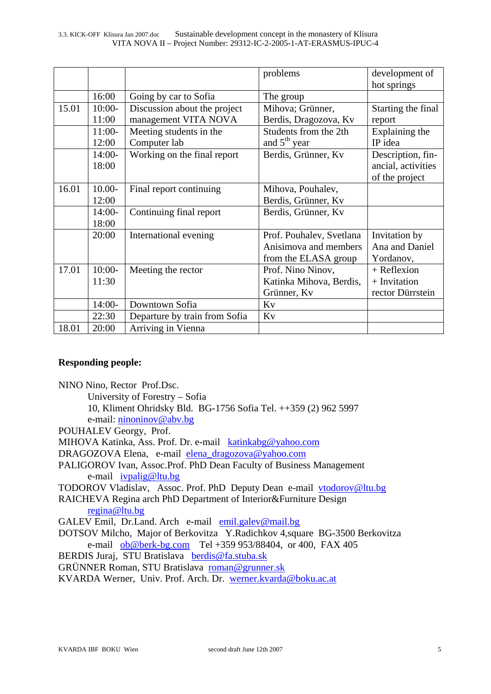|       |           |                               | problems                 | development of     |
|-------|-----------|-------------------------------|--------------------------|--------------------|
|       |           |                               |                          | hot springs        |
|       | 16:00     | Going by car to Sofia         | The group                |                    |
| 15.01 | $10:00-$  | Discussion about the project  | Mihova; Grünner,         | Starting the final |
|       | 11:00     | management VITA NOVA          | Berdis, Dragozova, Kv    | report             |
|       | $11:00-$  | Meeting students in the       | Students from the 2th    | Explaining the     |
|       | 12:00     | Computer lab                  | and $5th$ year           | IP idea            |
|       | $14:00-$  | Working on the final report   | Berdis, Grünner, Kv      | Description, fin-  |
|       | 18:00     |                               |                          | ancial, activities |
|       |           |                               |                          | of the project     |
| 16.01 | $10.00 -$ | Final report continuing       | Mihova, Pouhalev,        |                    |
|       | 12:00     |                               | Berdis, Grünner, Kv      |                    |
|       | $14:00-$  | Continuing final report       | Berdis, Grünner, Kv      |                    |
|       | 18:00     |                               |                          |                    |
|       | 20:00     | International evening         | Prof. Pouhalev, Svetlana | Invitation by      |
|       |           |                               | Anisimova and members    | Ana and Daniel     |
|       |           |                               | from the ELASA group     | Yordanov,          |
| 17.01 | $10:00-$  | Meeting the rector            | Prof. Nino Ninov,        | $+$ Reflexion      |
|       | 11:30     |                               | Katinka Mihova, Berdis,  | + Invitation       |
|       |           |                               | Grünner, Kv              | rector Dürrstein   |
|       | $14:00-$  | Downtown Sofia                | Kv                       |                    |
|       | 22:30     | Departure by train from Sofia | Kv                       |                    |
| 18.01 | 20:00     | Arriving in Vienna            |                          |                    |

#### **Responding people:**

NINO Nino, Rector Prof.Dsc.

- University of Forestry Sofia
- 10, Kliment Ohridsky Bld. BG-1756 Sofia Tel. ++359 (2) 962 5997 e-mail: ninoninov@abv.bg
- POUHALEV Georgy, Prof.
- MIHOVA Katinka, Ass. Prof. Dr. e-mail katinkabg@yahoo.com
- DRAGOZOVA Elena, e-mail elena\_dragozova@yahoo.com
- PALIGOROV Ivan, Assoc.Prof. PhD Dean Faculty of Business Management e-mail ivpalig@ltu.bg

TODOROV Vladislav, Assoc. Prof. PhD Deputy Dean e-mail vtodorov@ltu.bg

- RAICHEVA Regina arch PhD Department of Interior&Furniture Design regina@ltu.bg
- GALEV Emil, Dr.Land. Arch e-mail emil.galev@mail.bg
- DOTSOV Milcho, Major of Berkovitza Y.Radichkov 4,square BG-3500 Berkovitza e-mail ob@berk-bg.com Tel +359 953/88404, or 400, FAX 405
- BERDIS Juraj, STU Bratislava berdis@fa.stuba.sk
- GRÜNNER Roman, STU Bratislava roman@grunner.sk
- KVARDA Werner, Univ. Prof. Arch. Dr. werner.kvarda@boku.ac.at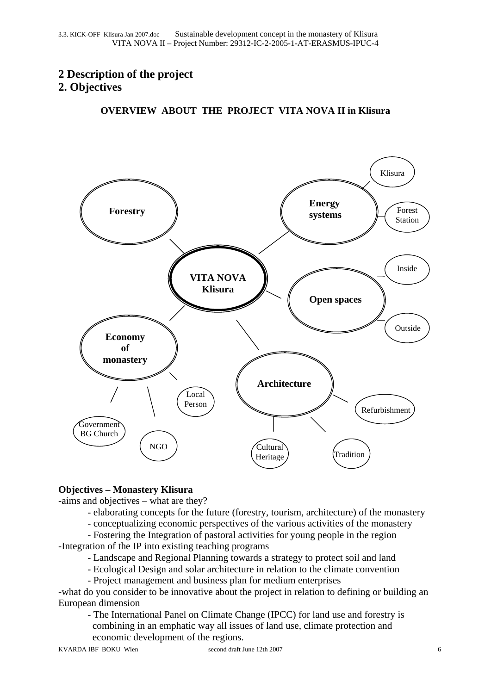# **2 Description of the project 2. Objectives**

**OVERVIEW ABOUT THE PROJECT VITA NOVA II in Klisura** 



#### **Objectives – Monastery Klisura**

-aims and objectives – what are they?

- elaborating concepts for the future (forestry, tourism, architecture) of the monastery
- conceptualizing economic perspectives of the various activities of the monastery

 - Fostering the Integration of pastoral activities for young people in the region -Integration of the IP into existing teaching programs

- Landscape and Regional Planning towards a strategy to protect soil and land
- Ecological Design and solar architecture in relation to the climate convention
- Project management and business plan for medium enterprises

-what do you consider to be innovative about the project in relation to defining or building an European dimension

 - The International Panel on Climate Change (IPCC) for land use and forestry is combining in an emphatic way all issues of land use, climate protection and economic development of the regions.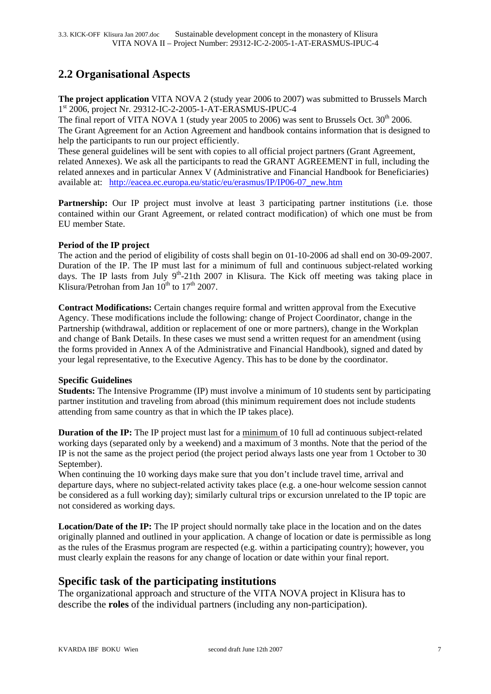# **2.2 Organisational Aspects**

**The project application** VITA NOVA 2 (study year 2006 to 2007) was submitted to Brussels March 1st 2006, project Nr. 29312-IC-2-2005-1-AT-ERASMUS-IPUC-4

The final report of VITA NOVA 1 (study year 2005 to 2006) was sent to Brussels Oct.  $30^{th}$  2006. The Grant Agreement for an Action Agreement and handbook contains information that is designed to help the participants to run our project efficiently.

These general guidelines will be sent with copies to all official project partners (Grant Agreement, related Annexes). We ask all the participants to read the GRANT AGREEMENT in full, including the related annexes and in particular Annex V (Administrative and Financial Handbook for Beneficiaries) available at: http://eacea.ec.europa.eu/static/eu/erasmus/IP/IP06-07\_new.htm

**Partnership:** Our IP project must involve at least 3 participating partner institutions (i.e. those contained within our Grant Agreement, or related contract modification) of which one must be from EU member State.

#### **Period of the IP project**

The action and the period of eligibility of costs shall begin on 01-10-2006 ad shall end on 30-09-2007. Duration of the IP. The IP must last for a minimum of full and continuous subject-related working days. The IP lasts from July  $9<sup>th</sup>$ -21th 2007 in Klisura. The Kick off meeting was taking place in Klisura/Petrohan from Jan  $10^{th}$  to  $17^{th}$  2007.

**Contract Modifications:** Certain changes require formal and written approval from the Executive Agency. These modifications include the following: change of Project Coordinator, change in the Partnership (withdrawal, addition or replacement of one or more partners), change in the Workplan and change of Bank Details. In these cases we must send a written request for an amendment (using the forms provided in Annex A of the Administrative and Financial Handbook), signed and dated by your legal representative, to the Executive Agency. This has to be done by the coordinator.

#### **Specific Guidelines**

**Students:** The Intensive Programme (IP) must involve a minimum of 10 students sent by participating partner institution and traveling from abroad (this minimum requirement does not include students attending from same country as that in which the IP takes place).

**Duration of the IP:** The IP project must last for a minimum of 10 full ad continuous subject-related working days (separated only by a weekend) and a maximum of 3 months. Note that the period of the IP is not the same as the project period (the project period always lasts one year from 1 October to 30 September).

When continuing the 10 working days make sure that you don't include travel time, arrival and departure days, where no subject-related activity takes place (e.g. a one-hour welcome session cannot be considered as a full working day); similarly cultural trips or excursion unrelated to the IP topic are not considered as working days.

**Location/Date of the IP:** The IP project should normally take place in the location and on the dates originally planned and outlined in your application. A change of location or date is permissible as long as the rules of the Erasmus program are respected (e.g. within a participating country); however, you must clearly explain the reasons for any change of location or date within your final report.

### **Specific task of the participating institutions**

The organizational approach and structure of the VITA NOVA project in Klisura has to describe the **roles** of the individual partners (including any non-participation).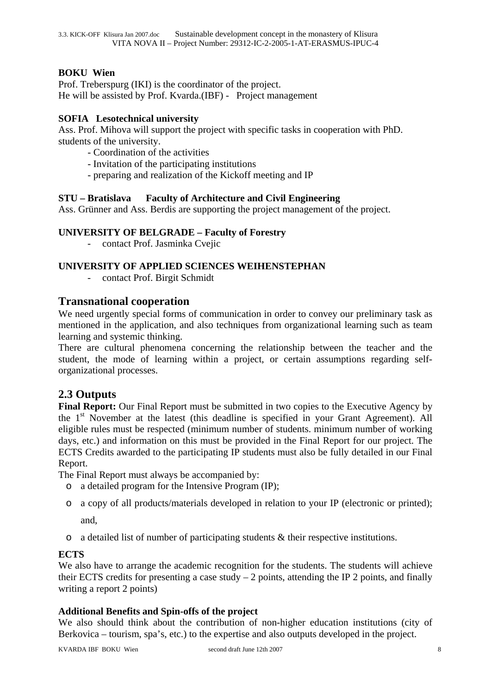#### **BOKU Wien**

Prof. Treberspurg (IKI) is the coordinator of the project. He will be assisted by Prof. Kvarda.(IBF) - Project management

#### **SOFIA Lesotechnical university**

Ass. Prof. Mihova will support the project with specific tasks in cooperation with PhD. students of the university.

- Coordination of the activities
- Invitation of the participating institutions
- preparing and realization of the Kickoff meeting and IP

#### **STU – Bratislava Faculty of Architecture and Civil Engineering**

Ass. Grünner and Ass. Berdis are supporting the project management of the project.

#### **UNIVERSITY OF BELGRADE – Faculty of Forestry**

- contact Prof. Jasminka Cvejic

#### **UNIVERSITY OF APPLIED SCIENCES WEIHENSTEPHAN**

contact Prof. Birgit Schmidt

#### **Transnational cooperation**

We need urgently special forms of communication in order to convey our preliminary task as mentioned in the application, and also techniques from organizational learning such as team learning and systemic thinking.

There are cultural phenomena concerning the relationship between the teacher and the student, the mode of learning within a project, or certain assumptions regarding selforganizational processes.

### **2.3 Outputs**

**Final Report:** Our Final Report must be submitted in two copies to the Executive Agency by the 1<sup>st</sup> November at the latest (this deadline is specified in your Grant Agreement). All eligible rules must be respected (minimum number of students. minimum number of working days, etc.) and information on this must be provided in the Final Report for our project. The ECTS Credits awarded to the participating IP students must also be fully detailed in our Final Report.

The Final Report must always be accompanied by:

- o a detailed program for the Intensive Program (IP);
- o a copy of all products/materials developed in relation to your IP (electronic or printed); and,
- o a detailed list of number of participating students & their respective institutions.

#### **ECTS**

We also have to arrange the academic recognition for the students. The students will achieve their ECTS credits for presenting a case study  $-2$  points, attending the IP 2 points, and finally writing a report 2 points)

#### **Additional Benefits and Spin-offs of the project**

We also should think about the contribution of non-higher education institutions (city of Berkovica – tourism, spa's, etc.) to the expertise and also outputs developed in the project.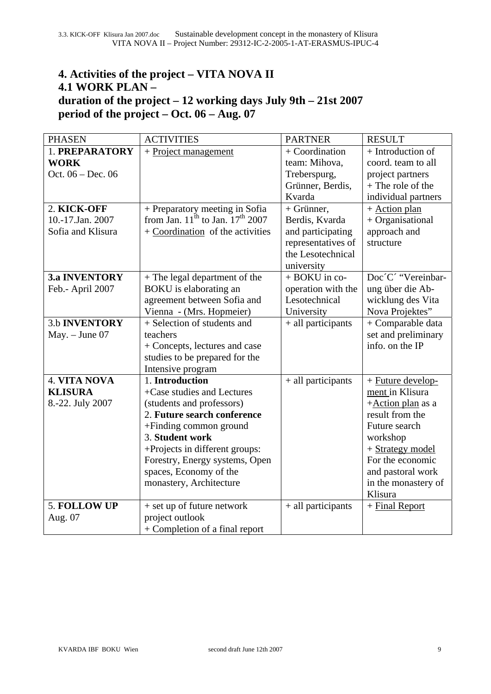# **4. Activities of the project – VITA NOVA II 4.1 WORK PLAN – duration of the project – 12 working days July 9th – 21st 2007 period of the project – Oct. 06 – Aug. 07**

| <b>PHASEN</b>        | <b>ACTIVITIES</b>                          | <b>PARTNER</b>     | <b>RESULT</b>       |
|----------------------|--------------------------------------------|--------------------|---------------------|
| 1. PREPARATORY       | + Project management                       | + Coordination     | + Introduction of   |
| <b>WORK</b>          |                                            | team: Mihova,      | coord. team to all  |
| Oct. 06 - Dec. 06    |                                            | Treberspurg,       | project partners    |
|                      |                                            | Grünner, Berdis,   | $+$ The role of the |
|                      |                                            | Kvarda             | individual partners |
| 2. KICK-OFF          | + Preparatory meeting in Sofia             | $+$ Grünner,       | $+$ Action plan     |
| 10.-17.Jan. 2007     | from Jan. $11^{th}$ to Jan. $17^{th}$ 2007 | Berdis, Kvarda     | + Organisational    |
| Sofia and Klisura    | $+$ Coordination of the activities         | and participating  | approach and        |
|                      |                                            | representatives of | structure           |
|                      |                                            | the Lesotechnical  |                     |
|                      |                                            | university         |                     |
| <b>3.a INVENTORY</b> | + The legal department of the              | + BOKU in co-      | Doc'C' "Vereinbar-  |
| Feb.- April 2007     | BOKU is elaborating an                     | operation with the | ung über die Ab-    |
|                      | agreement between Sofia and                | Lesotechnical      | wicklung des Vita   |
|                      | Vienna - (Mrs. Hopmeier)                   | University         | Nova Projektes"     |
| <b>3.b INVENTORY</b> | + Selection of students and                | + all participants | + Comparable data   |
| $May. - June 07$     | teachers                                   |                    | set and preliminary |
|                      | + Concepts, lectures and case              |                    | info. on the IP     |
|                      | studies to be prepared for the             |                    |                     |
|                      | Intensive program                          |                    |                     |
| <b>4. VITA NOVA</b>  | 1. Introduction                            | + all participants | + Future develop-   |
| <b>KLISURA</b>       | +Case studies and Lectures                 |                    | ment in Klisura     |
| 8.-22. July 2007     | (students and professors)                  |                    | +Action plan as a   |
|                      | 2. Future search conference                |                    | result from the     |
|                      | +Finding common ground                     |                    | Future search       |
|                      | 3. Student work                            |                    | workshop            |
|                      | +Projects in different groups:             |                    | + Strategy model    |
|                      | Forestry, Energy systems, Open             |                    | For the economic    |
|                      | spaces, Economy of the                     |                    | and pastoral work   |
|                      | monastery, Architecture                    |                    | in the monastery of |
|                      |                                            |                    | Klisura             |
| 5. FOLLOW UP         | + set up of future network                 | + all participants | + Final Report      |
| Aug. 07              | project outlook                            |                    |                     |
|                      | + Completion of a final report             |                    |                     |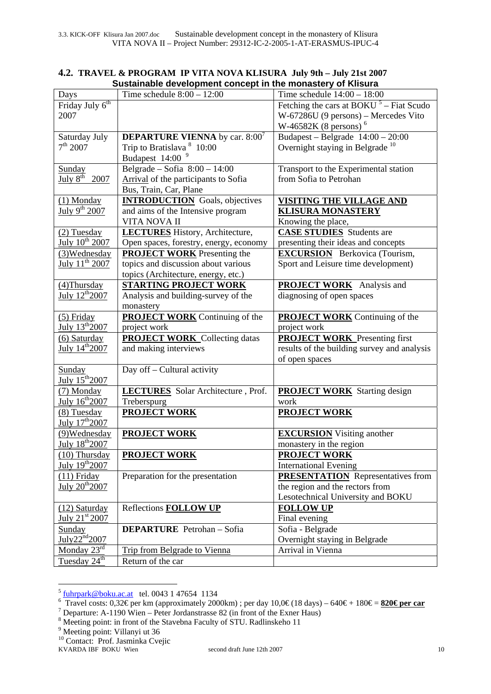|                              | oustaniable development concept in the monastery or Knsura |                                                     |
|------------------------------|------------------------------------------------------------|-----------------------------------------------------|
| Days                         | Time schedule $8:00 - 12:00$                               | Time schedule $14:00 - 18:00$                       |
| Friday July 6 <sup>th</sup>  |                                                            | Fetching the cars at BOKU <sup>5</sup> – Fiat Scudo |
| 2007                         |                                                            | W-67286U (9 persons) – Mercedes Vito                |
|                              |                                                            | W-46582K (8 persons) <sup>6</sup>                   |
| Saturday July                | <b>DEPARTURE VIENNA</b> by car. $8:00^7$                   | Budapest – Belgrade $14:00 - 20:00$                 |
| 7 <sup>th</sup> 2007         | Trip to Bratislava <sup>8</sup> 10:00                      | Overnight staying in Belgrade <sup>10</sup>         |
|                              | Budapest 14:00 <sup>9</sup>                                |                                                     |
| Sunday                       | Belgrade - Sofia $8:00 - 14:00$                            | Transport to the Experimental station               |
| July $8^{\text{th}}$<br>2007 | Arrival of the participants to Sofia                       | from Sofia to Petrohan                              |
|                              | Bus, Train, Car, Plane                                     |                                                     |
| $(1)$ Monday                 | <b>INTRODUCTION</b> Goals, objectives                      | VISITING THE VILLAGE AND                            |
|                              |                                                            |                                                     |
| July 9 <sup>th</sup> 2007    | and aims of the Intensive program                          | <b>KLISURA MONASTERY</b>                            |
|                              | VITA NOVA II                                               | Knowing the place,                                  |
| $(2)$ Tuesday                | <b>LECTURES</b> History, Architecture,                     | <b>CASE STUDIES</b> Students are                    |
| July 10 <sup>th</sup> 2007   | Open spaces, forestry, energy, economy                     | presenting their ideas and concepts                 |
| (3)Wednesday                 | <b>PROJECT WORK</b> Presenting the                         | <b>EXCURSION</b> Berkovica (Tourism,                |
| July $11^{th}$ 2007          | topics and discussion about various                        | Sport and Leisure time development)                 |
|                              | topics (Architecture, energy, etc.)                        |                                                     |
| $(4)$ Thursday               | <b>STARTING PROJECT WORK</b>                               | <b>PROJECT WORK</b> Analysis and                    |
| July 12 <sup>th</sup> 2007   | Analysis and building-survey of the                        | diagnosing of open spaces                           |
|                              | monastery                                                  |                                                     |
| $(5)$ Friday                 | <b>PROJECT WORK</b> Continuing of the                      | <b>PROJECT WORK</b> Continuing of the               |
| July $13^{th}2007$           | project work                                               | project work                                        |
| (6) Saturday                 | <b>PROJECT WORK</b> Collecting datas                       | <b>PROJECT WORK</b> Presenting first                |
| July 14 <sup>th</sup> 2007   | and making interviews                                      | results of the building survey and analysis         |
|                              |                                                            | of open spaces                                      |
| <b>Sunday</b>                | Day off - Cultural activity                                |                                                     |
| July 15 <sup>th</sup> 2007   |                                                            |                                                     |
| (7) Monday                   | <b>LECTURES</b> Solar Architecture, Prof.                  | <b>PROJECT WORK</b> Starting design                 |
| July 16 <sup>th</sup> 2007   | Treberspurg                                                | work                                                |
| (8) Tuesday                  | <b>PROJECT WORK</b>                                        | <b>PROJECT WORK</b>                                 |
| July 17 <sup>th</sup> 2007   |                                                            |                                                     |
| (9) Wednesday                | <b>PROJECT WORK</b>                                        | <b>EXCURSION</b> Visiting another                   |
| July 18th 2007               |                                                            | monastery in the region                             |
| (10) Thursday                | <b>PROJECT WORK</b>                                        | <b>PROJECT WORK</b>                                 |
| July 19th <sub>2007</sub>    |                                                            | <b>International Evening</b>                        |
| $(11)$ Friday                | Preparation for the presentation                           | <b>PRESENTATION</b> Representatives from            |
| July $20^{th}$ $2007$        |                                                            | the region and the rectors from                     |
|                              |                                                            | Lesotechnical University and BOKU                   |
| $(12)$ Saturday              | <b>Reflections FOLLOW UP</b>                               | <b>FOLLOW UP</b>                                    |
| July 21st 2007               |                                                            | Final evening                                       |
| Sunday                       | <b>DEPARTURE</b> Petrohan - Sofia                          | Sofia - Belgrade                                    |
| July22 <sup>nd</sup> 2007    |                                                            | Overnight staying in Belgrade                       |
| Monday $23^{\text{rd}}$      | Trip from Belgrade to Vienna                               | Arrival in Vienna                                   |
| Tuesday 24 <sup>th</sup>     | Return of the car                                          |                                                     |
|                              |                                                            |                                                     |

#### **4.2. TRAVEL & PROGRAM IP VITA NOVA KLISURA July 9th – July 21st 2007 Sustainable development concept in the monastery of Klisura**

1

 $5$  fuhrpark@boku.ac.at tel. 0043 1 47654 1134

 $\overline{3}$  Travel costs: 0,32€ per km (approximately 2000km); per day 10,0€ (18 days) – 640€ + 180€ = **820€ per car** 

 $\frac{1}{2}$  Departure: A-1190 Wien – Peter Jordanstrasse 82 (in front of the Exner Haus)

<sup>&</sup>lt;sup>8</sup> Meeting point: in front of the Stavebna Faculty of STU. Radlinskeho 11<br><sup>9</sup> Meeting point: Villapui ut 26

<sup>&</sup>lt;sup>9</sup> Meeting point: Villanyi ut 36

<sup>&</sup>lt;sup>10</sup> Contact: Prof. Jasminka Cvejic

KVARDA IBF BOKU Wien second draft June 12th 2007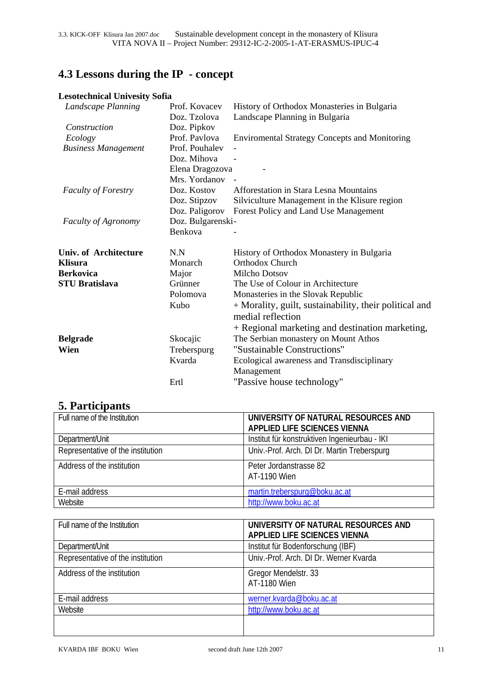# **4.3 Lessons during the IP - concept**

### **Lesotechnical Univesity Sofia**

| Landscape Planning           | Prof. Kovacev     | History of Orthodox Monasteries in Bulgaria            |
|------------------------------|-------------------|--------------------------------------------------------|
|                              | Doz. Tzolova      | Landscape Planning in Bulgaria                         |
| Construction                 | Doz. Pipkov       |                                                        |
| Ecology                      | Prof. Pavlova     | <b>Environmental Strategy Concepts and Monitoring</b>  |
| <b>Business Management</b>   | Prof. Pouhalev    |                                                        |
|                              | Doz. Mihova       |                                                        |
|                              | Elena Dragozova   |                                                        |
|                              | Mrs. Yordanov     |                                                        |
| <b>Faculty of Forestry</b>   | Doz. Kostov       | Afforestation in Stara Lesna Mountains                 |
|                              | Doz. Stipzov      | Silviculture Management in the Klisure region          |
|                              | Doz. Paligorov    | Forest Policy and Land Use Management                  |
| <b>Faculty of Agronomy</b>   | Doz. Bulgarenski- |                                                        |
|                              | Benkova           |                                                        |
| <b>Univ. of Architecture</b> | N.N               | History of Orthodox Monastery in Bulgaria              |
| <b>Klisura</b>               | Monarch           | <b>Orthodox Church</b>                                 |
| <b>Berkovica</b>             | Major             | <b>Milcho Dotsov</b>                                   |
| <b>STU Bratislava</b>        | Grünner           | The Use of Colour in Architecture                      |
|                              | Polomova          | Monasteries in the Slovak Republic                     |
|                              | Kubo              | + Morality, guilt, sustainability, their political and |
|                              |                   | medial reflection                                      |
|                              |                   | + Regional marketing and destination marketing,        |
| <b>Belgrade</b>              | Skocajic          | The Serbian monastery on Mount Athos                   |
| Wien                         | Treberspurg       | "Sustainable Constructions"                            |
|                              | Kvarda            | Ecological awareness and Transdisciplinary             |
|                              |                   | Management                                             |
|                              | Ertl              | "Passive house technology"                             |
|                              |                   |                                                        |

# **5. Participants**

| Full name of the Institution      | UNIVERSITY OF NATURAL RESOURCES AND<br>APPLIED LIFE SCIENCES VIENNA |
|-----------------------------------|---------------------------------------------------------------------|
| Department/Unit                   | Institut für konstruktiven Ingenieurbau - IKI                       |
| Representative of the institution | Univ.-Prof. Arch. DI Dr. Martin Treberspurg                         |
| Address of the institution        | Peter Jordanstrasse 82<br>AT-1190 Wien                              |
| E-mail address                    | martin.treberspurg@boku.ac.at                                       |
| Website                           | http://www.boku.ac.at                                               |

| Full name of the Institution      | UNIVERSITY OF NATURAL RESOURCES AND<br>APPLIED LIFE SCIENCES VIENNA |
|-----------------------------------|---------------------------------------------------------------------|
|                                   |                                                                     |
| Department/Unit                   | Institut für Bodenforschung (IBF)                                   |
| Representative of the institution | Univ.-Prof. Arch. DI Dr. Werner Kvarda                              |
| Address of the institution        | Gregor Mendelstr. 33                                                |
|                                   | AT-1180 Wien                                                        |
| E-mail address                    | werner.kvarda@boku.ac.at                                            |
| Website                           | http://www.boku.ac.at                                               |
|                                   |                                                                     |
|                                   |                                                                     |